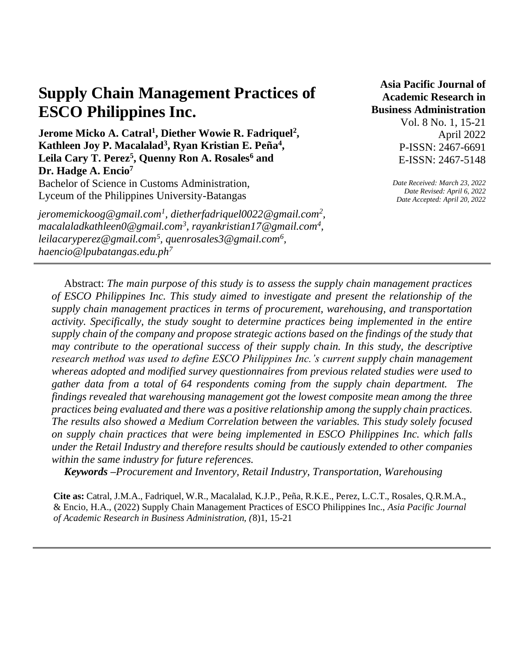# **Supply Chain Management Practices of ESCO Philippines Inc.**

**Jerome Micko A. Catral<sup>1</sup> , Diether Wowie R. Fadriquel<sup>2</sup> , Kathleen Joy P. Macalalad<sup>3</sup> , Ryan Kristian E. Peña<sup>4</sup> , Leila Cary T. Perez<sup>5</sup> , Quenny Ron A. Rosales<sup>6</sup> and Dr. Hadge A. Encio<sup>7</sup>**

Bachelor of Science in Customs Administration, Lyceum of the Philippines University-Batangas

*jeromemickoog@gmail.com<sup>1</sup> , dietherfadriquel0022@gmail.com<sup>2</sup> , macalaladkathleen0@gmail.com<sup>3</sup> , rayankristian17@gmail.com<sup>4</sup> , leilacaryperez@gmail.com<sup>5</sup> , quenrosales3@gmail.com<sup>6</sup> , haencio@lpubatangas.edu.ph<sup>7</sup>*

**Asia Pacific Journal of Academic Research in Business Administration**  Vol. 8 No. 1, 15-21 April 2022 P-ISSN: 2467-6691 E-ISSN: 2467-5148

> *Date Received: March 23, 2022 Date Revised: April 6, 2022 Date Accepted: April 20, 2022*

Abstract: *The main purpose of this study is to assess the supply chain management practices of ESCO Philippines Inc. This study aimed to investigate and present the relationship of the supply chain management practices in terms of procurement, warehousing, and transportation activity. Specifically, the study sought to determine practices being implemented in the entire supply chain of the company and propose strategic actions based on the findings of the study that may contribute to the operational success of their supply chain. In this study, the descriptive research method was used to define ESCO Philippines Inc.'s current supply chain management whereas adopted and modified survey questionnaires from previous related studies were used to gather data from a total of 64 respondents coming from the supply chain department. The findings revealed that warehousing management got the lowest composite mean among the three practices being evaluated and there was a positive relationship among the supply chain practices. The results also showed a Medium Correlation between the variables. This study solely focused on supply chain practices that were being implemented in ESCO Philippines Inc. which falls under the Retail Industry and therefore results should be cautiously extended to other companies within the same industry for future references.*

*Keywords –Procurement and Inventory, Retail Industry, Transportation, Warehousing*

**Cite as:** Catral, J.M.A., Fadriquel, W.R., Macalalad, K.J.P., Peña, R.K.E., Perez, L.C.T., Rosales, Q.R.M.A., & Encio, H.A., (2022) Supply Chain Management Practices of ESCO Philippines Inc., *Asia Pacific Journal of Academic Research in Business Administration, (*8)1, 15-21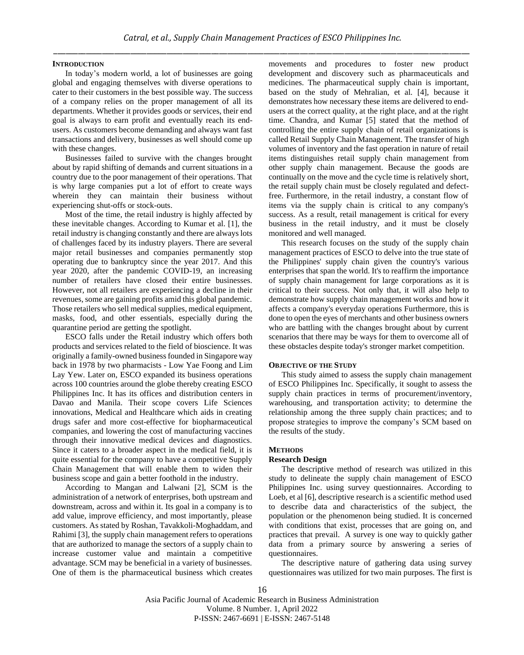## **INTRODUCTION**

In today's modern world, a lot of businesses are going global and engaging themselves with diverse operations to cater to their customers in the best possible way. The success of a company relies on the proper management of all its departments. Whether it provides goods or services, their end goal is always to earn profit and eventually reach its endusers. As customers become demanding and always want fast transactions and delivery, businesses as well should come up with these changes.

Businesses failed to survive with the changes brought about by rapid shifting of demands and current situations in a country due to the poor management of their operations. That is why large companies put a lot of effort to create ways wherein they can maintain their business without experiencing shut-offs or stock-outs.

Most of the time, the retail industry is highly affected by these inevitable changes. According to Kumar et al. [1], the retail industry is changing constantly and there are always lots of challenges faced by its industry players. There are several major retail businesses and companies permanently stop operating due to bankruptcy since the year 2017. And this year 2020, after the pandemic COVID-19, an increasing number of retailers have closed their entire businesses. However, not all retailers are experiencing a decline in their revenues, some are gaining profits amid this global pandemic. Those retailers who sell medical supplies, medical equipment, masks, food, and other essentials, especially during the quarantine period are getting the spotlight.

ESCO falls under the Retail industry which offers both products and services related to the field of bioscience. It was originally a family-owned business founded in Singapore way back in 1978 by two pharmacists - Low Yae Foong and Lim Lay Yew. Later on, ESCO expanded its business operations across 100 countries around the globe thereby creating ESCO Philippines Inc. It has its offices and distribution centers in Davao and Manila. Their scope covers Life Sciences innovations, Medical and Healthcare which aids in creating drugs safer and more cost-effective for biopharmaceutical companies, and lowering the cost of manufacturing vaccines through their innovative medical devices and diagnostics. Since it caters to a broader aspect in the medical field, it is quite essential for the company to have a competitive Supply Chain Management that will enable them to widen their business scope and gain a better foothold in the industry.

According to Mangan and Lalwani [2], SCM is the administration of a network of enterprises, both upstream and downstream, across and within it. Its goal in a company is to add value, improve efficiency, and most importantly, please customers. As stated by Roshan, Tavakkoli-Moghaddam, and Rahimi [3], the supply chain management refers to operations that are authorized to manage the sectors of a supply chain to increase customer value and maintain a competitive advantage. SCM may be beneficial in a variety of businesses. One of them is the pharmaceutical business which creates movements and procedures to foster new product development and discovery such as pharmaceuticals and medicines. The pharmaceutical supply chain is important, based on the study of Mehralian, et al. [4], because it demonstrates how necessary these items are delivered to endusers at the correct quality, at the right place, and at the right time. Chandra, and Kumar [5] stated that the method of controlling the entire supply chain of retail organizations is called Retail Supply Chain Management. The transfer of high volumes of inventory and the fast operation in nature of retail items distinguishes retail supply chain management from other supply chain management. Because the goods are continually on the move and the cycle time is relatively short, the retail supply chain must be closely regulated and defectfree. Furthermore, in the retail industry, a constant flow of items via the supply chain is critical to any company's success. As a result, retail management is critical for every business in the retail industry, and it must be closely monitored and well managed.

This research focuses on the study of the supply chain management practices of ESCO to delve into the true state of the Philippines' supply chain given the country's various enterprises that span the world. It's to reaffirm the importance of supply chain management for large corporations as it is critical to their success. Not only that, it will also help to demonstrate how supply chain management works and how it affects a company's everyday operations Furthermore, this is done to open the eyes of merchants and other business owners who are battling with the changes brought about by current scenarios that there may be ways for them to overcome all of these obstacles despite today's stronger market competition.

## **OBJECTIVE OF THE STUDY**

This study aimed to assess the supply chain management of ESCO Philippines Inc. Specifically, it sought to assess the supply chain practices in terms of procurement/inventory, warehousing, and transportation activity; to determine the relationship among the three supply chain practices; and to propose strategies to improve the company's SCM based on the results of the study.

## **METHODS**

#### **Research Design**

The descriptive method of research was utilized in this study to delineate the supply chain management of ESCO Philippines Inc. using survey questionnaires. According to Loeb, et al [6], descriptive research is a scientific method used to describe data and characteristics of the subject, the population or the phenomenon being studied. It is concerned with conditions that exist, processes that are going on, and practices that prevail. A survey is one way to quickly gather data from a primary source by answering a series of questionnaires.

The descriptive nature of gathering data using survey questionnaires was utilized for two main purposes. The first is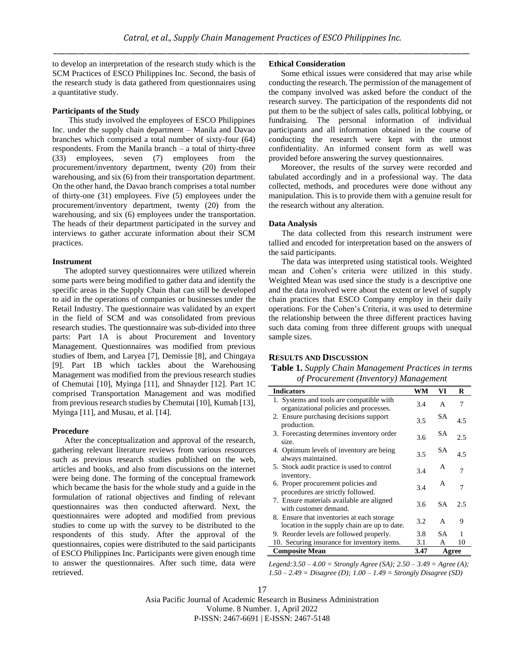to develop an interpretation of the research study which is the SCM Practices of ESCO Philippines Inc. Second, the basis of the research study is data gathered from questionnaires using a quantitative study.

## **Participants of the Study**

This study involved the employees of ESCO Philippines Inc. under the supply chain department – Manila and Davao branches which comprised a total number of sixty-four (64) respondents. From the Manila branch – a total of thirty-three (33) employees, seven (7) employees from the procurement/inventory department, twenty (20) from their warehousing, and six (6) from their transportation department. On the other hand, the Davao branch comprises a total number of thirty-one (31) employees. Five (5) employees under the procurement/inventory department, twenty (20) from the warehousing, and six (6) employees under the transportation. The heads of their department participated in the survey and interviews to gather accurate information about their SCM practices.

#### **Instrument**

The adopted survey questionnaires were utilized wherein some parts were being modified to gather data and identify the specific areas in the Supply Chain that can still be developed to aid in the operations of companies or businesses under the Retail Industry. The questionnaire was validated by an expert in the field of SCM and was consolidated from previous research studies. The questionnaire was sub-divided into three parts: Part 1A is about Procurement and Inventory Management. Questionnaires was modified from previous studies of Ibem, and Laryea [7], Demissie [8], and Chingaya [9]. Part 1B which tackles about the Warehousing Management was modified from the previous research studies of Chemutai [10], Myinga [11], and Shnayder [12]. Part 1C comprised Transportation Management and was modified from previous research studies by Chemutai [10], Kumah [13], Myinga [11], and Musau, et al. [14].

#### **Procedure**

After the conceptualization and approval of the research, gathering relevant literature reviews from various resources such as previous research studies published on the web, articles and books, and also from discussions on the internet were being done. The forming of the conceptual framework which became the basis for the whole study and a guide in the formulation of rational objectives and finding of relevant questionnaires was then conducted afterward. Next, the questionnaires were adopted and modified from previous studies to come up with the survey to be distributed to the respondents of this study. After the approval of the questionnaires, copies were distributed to the said participants of ESCO Philippines Inc. Participants were given enough time to answer the questionnaires. After such time, data were retrieved.

# **Ethical Consideration**

Some ethical issues were considered that may arise while conducting the research. The permission of the management of the company involved was asked before the conduct of the research survey. The participation of the respondents did not put them to be the subject of sales calls, political lobbying, or fundraising. The personal information of individual participants and all information obtained in the course of conducting the research were kept with the utmost confidentiality. An informed consent form as well was provided before answering the survey questionnaires.

Moreover, the results of the survey were recorded and tabulated accordingly and in a professional way. The data collected, methods, and procedures were done without any manipulation. This is to provide them with a genuine result for the research without any alteration.

#### **Data Analysis**

The data collected from this research instrument were tallied and encoded for interpretation based on the answers of the said participants.

The data was interpreted using statistical tools. Weighted mean and Cohen's criteria were utilized in this study. Weighted Mean was used since the study is a descriptive one and the data involved were about the extent or level of supply chain practices that ESCO Company employ in their daily operations. For the Cohen's Criteria, it was used to determine the relationship between the three different practices having such data coming from three different groups with unequal sample sizes.

## **RESULTS AND DISCUSSION**

**Table 1.** *Supply Chain Management Practices in terms of Procurement (Inventory) Management*

| <b>Indicators</b>                                                                           | WM   | VI        | R   |
|---------------------------------------------------------------------------------------------|------|-----------|-----|
| 1. Systems and tools are compatible with<br>organizational policies and processes.          | 3.4  | A         | 7   |
| 2. Ensure purchasing decisions support<br>production.                                       | 3.5  | SА        | 4.5 |
| 3. Forecasting determines inventory order<br>size.                                          | 3.6  | SА        | 2.5 |
| 4. Optimum levels of inventory are being<br>always maintained.                              | 3.5  | SА        | 4.5 |
| 5. Stock audit practice is used to control<br>inventory.                                    | 3.4  | A         |     |
| 6. Proper procurement policies and<br>procedures are strictly followed.                     | 34   | А         |     |
| 7. Ensure materials available are aligned<br>with customer demand.                          | 3.6  | <b>SA</b> | 25  |
| 8. Ensure that inventories at each storage.<br>location in the supply chain are up to date. | 3.2  | A         | 9   |
| 9. Reorder levels are followed properly.                                                    | 3.8  | SА        |     |
| 10. Securing insurance for inventory items.                                                 | 3.1  | A         | 10  |
| <b>Composite Mean</b>                                                                       | 3.47 | Agree     |     |

*Legend:3.50 – 4.00 = Strongly Agree (SA); 2.50 – 3.49 = Agree (A); 1.50 – 2.49 = Disagree (D); 1.00 – 1.49 = Strongly Disagree (SD)*

17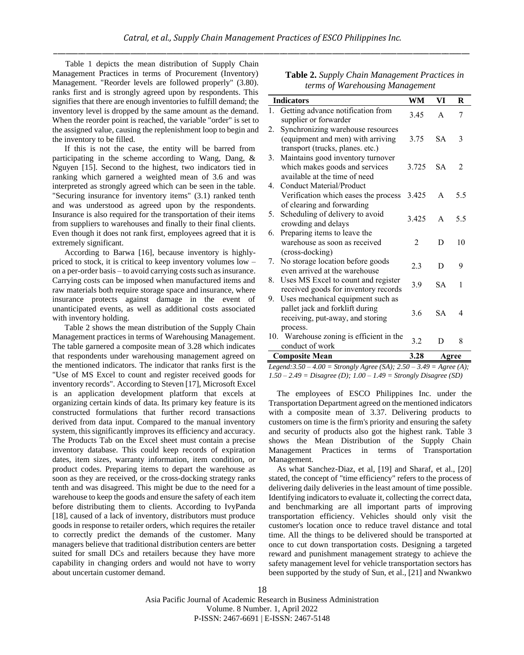Table 1 depicts the mean distribution of Supply Chain Management Practices in terms of Procurement (Inventory) Management. "Reorder levels are followed properly" (3.80). ranks first and is strongly agreed upon by respondents. This signifies that there are enough inventories to fulfill demand; the inventory level is dropped by the same amount as the demand. When the reorder point is reached, the variable "order" is set to the assigned value, causing the replenishment loop to begin and the inventory to be filled.

If this is not the case, the entity will be barred from participating in the scheme according to Wang, Dang, & Nguyen [15]. Second to the highest, two indicators tied in ranking which garnered a weighted mean of 3.6 and was interpreted as strongly agreed which can be seen in the table. "Securing insurance for inventory items" (3.1) ranked tenth and was understood as agreed upon by the respondents. Insurance is also required for the transportation of their items from suppliers to warehouses and finally to their final clients. Even though it does not rank first, employees agreed that it is extremely significant.

According to Barwa [16], because inventory is highlypriced to stock, it is critical to keep inventory volumes low – on a per-order basis – to avoid carrying costs such as insurance. Carrying costs can be imposed when manufactured items and raw materials both require storage space and insurance, where insurance protects against damage in the event of unanticipated events, as well as additional costs associated with inventory holding.

Table 2 shows the mean distribution of the Supply Chain Management practices in terms of Warehousing Management. The table garnered a composite mean of 3.28 which indicates that respondents under warehousing management agreed on the mentioned indicators. The indicator that ranks first is the "Use of MS Excel to count and register received goods for inventory records". According to Steven [17], Microsoft Excel is an application development platform that excels at organizing certain kinds of data. Its primary key feature is its constructed formulations that further record transactions derived from data input. Compared to the manual inventory system, this significantly improves its efficiency and accuracy. The Products Tab on the Excel sheet must contain a precise inventory database. This could keep records of expiration dates, item sizes, warranty information, item condition, or product codes. Preparing items to depart the warehouse as soon as they are received, or the cross-docking strategy ranks tenth and was disagreed. This might be due to the need for a warehouse to keep the goods and ensure the safety of each item before distributing them to clients. According to IvyPanda [18], caused of a lack of inventory, distributors must produce goods in response to retailer orders, which requires the retailer to correctly predict the demands of the customer. Many managers believe that traditional distribution centers are better suited for small DCs and retailers because they have more capability in changing orders and would not have to worry about uncertain customer demand.

| Table 2. Supply Chain Management Practices in |
|-----------------------------------------------|
| terms of Warehousing Management               |

|    | <b>Indicators</b>                                                                                                    | <b>WM</b>      | VI           | R              |
|----|----------------------------------------------------------------------------------------------------------------------|----------------|--------------|----------------|
| 1. | Getting advance notification from<br>supplier or forwarder                                                           | 3.45           | A            | 7              |
| 2. | Synchronizing warehouse resources<br>(equipment and men) with arriving<br>transport (trucks, planes. etc.)           | 3.75           | SA.          | 3              |
| 3. | Maintains good inventory turnover<br>which makes goods and services<br>available at the time of need                 | 3.725          | SA.          | $\mathfrak{D}$ |
| 4. | Conduct Material/Product<br>Verification which eases the process<br>of clearing and forwarding                       | 3.425          | A            | 5.5            |
| 5. | Scheduling of delivery to avoid<br>crowding and delays                                                               | 3.425          | $\mathsf{A}$ | 5.5            |
| 6. | Preparing items to leave the<br>warehouse as soon as received<br>(cross-docking)                                     | $\overline{2}$ | D            | 10             |
| 7. | No storage location before goods<br>even arrived at the warehouse                                                    | 2.3            | D            | 9              |
| 8. | Uses MS Excel to count and register<br>received goods for inventory records                                          | 3.9            | <b>SA</b>    | 1              |
| 9. | Uses mechanical equipment such as<br>pallet jack and forklift during<br>receiving, put-away, and storing<br>process. | 3.6            | SА           | 4              |
|    | 10. Warehouse zoning is efficient in the<br>conduct of work                                                          | 3.2            | D            | 8              |
|    | <b>Composite Mean</b>                                                                                                | 3.28           | Agree        |                |

*Legend:3.50 – 4.00 = Strongly Agree (SA); 2.50 – 3.49 = Agree (A); 1.50 – 2.49 = Disagree (D); 1.00 – 1.49 = Strongly Disagree (SD)*

The employees of ESCO Philippines Inc. under the Transportation Department agreed on the mentioned indicators with a composite mean of 3.37. Delivering products to customers on time is the firm's priority and ensuring the safety and security of products also got the highest rank. Table 3 shows the Mean Distribution of the Supply Chain Management Practices in terms of Transportation Management.

As what Sanchez-Diaz, et al, [19] and Sharaf, et al., [20] stated, the concept of "time efficiency" refers to the process of delivering daily deliveries in the least amount of time possible. Identifying indicators to evaluate it, collecting the correct data, and benchmarking are all important parts of improving transportation efficiency. Vehicles should only visit the customer's location once to reduce travel distance and total time. All the things to be delivered should be transported at once to cut down transportation costs. Designing a targeted reward and punishment management strategy to achieve the safety management level for vehicle transportation sectors has been supported by the study of Sun, et al., [21] and Nwankwo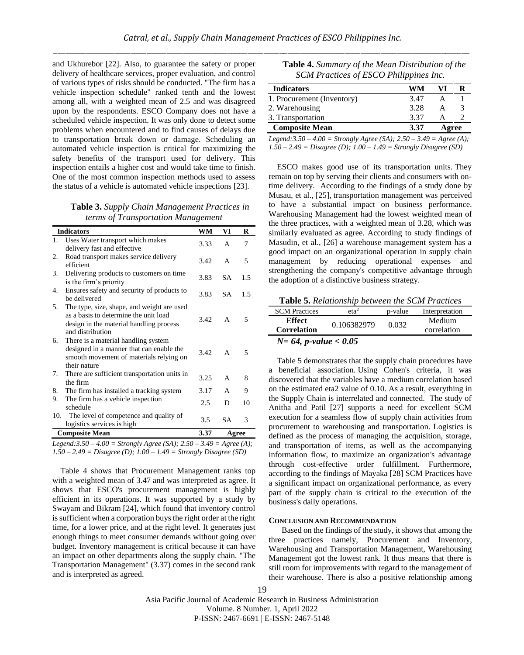and Ukhurebor [22]. Also, to guarantee the safety or proper delivery of healthcare services, proper evaluation, and control of various types of risks should be conducted. "The firm has a vehicle inspection schedule" ranked tenth and the lowest among all, with a weighted mean of 2.5 and was disagreed upon by the respondents. ESCO Company does not have a scheduled vehicle inspection. It was only done to detect some problems when encountered and to find causes of delays due to transportation break down or damage. Scheduling an automated vehicle inspection is critical for maximizing the safety benefits of the transport used for delivery. This inspection entails a higher cost and would take time to finish. One of the most common inspection methods used to assess the status of a vehicle is automated vehicle inspections [23].

**Table 3.** *Supply Chain Management Practices in terms of Transportation Management*

|     | <b>Indicators</b>                                                                                                                                  | WM   | VI        | R   |
|-----|----------------------------------------------------------------------------------------------------------------------------------------------------|------|-----------|-----|
| 1.  | Uses Water transport which makes<br>delivery fast and effective                                                                                    | 3.33 | A         | 7   |
| 2.  | Road transport makes service delivery<br>efficient                                                                                                 | 3.42 | A         | 5   |
| 3.  | Delivering products to customers on time<br>is the firm's priority                                                                                 | 3.83 | <b>SA</b> | 1.5 |
| 4.  | Ensures safety and security of products to<br>be delivered                                                                                         | 3.83 | <b>SA</b> | 1.5 |
| 5.  | The type, size, shape, and weight are used<br>as a basis to determine the unit load<br>design in the material handling process<br>and distribution | 3.42 | A         | 5   |
| 6.  | There is a material handling system<br>designed in a manner that can enable the<br>smooth movement of materials relying on<br>their nature         | 3.42 | A         | 5   |
| 7.  | There are sufficient transportation units in<br>the firm                                                                                           | 3.25 | A         | 8   |
| 8.  | The firm has installed a tracking system                                                                                                           | 3.17 | A         | 9   |
| 9.  | The firm has a vehicle inspection<br>schedule                                                                                                      | 2.5  | D         | 10  |
| 10. | The level of competence and quality of<br>logistics services is high                                                                               | 3.5  | <b>SA</b> | 3   |
|     | <b>Composite Mean</b>                                                                                                                              | 3.37 | Agree     |     |

*Legend:3.50 – 4.00 = Strongly Agree (SA); 2.50 – 3.49 = Agree (A); 1.50 – 2.49 = Disagree (D); 1.00 – 1.49 = Strongly Disagree (SD)*

Table 4 shows that Procurement Management ranks top with a weighted mean of 3.47 and was interpreted as agree. It shows that ESCO's procurement management is highly efficient in its operations. It was supported by a study by Swayam and Bikram [24], which found that inventory control is sufficient when a corporation buys the right order at the right time, for a lower price, and at the right level. It generates just enough things to meet consumer demands without going over budget. Inventory management is critical because it can have an impact on other departments along the supply chain. "The Transportation Management" (3.37) comes in the second rank and is interpreted as agreed.

| <b>Table 4.</b> Summary of the Mean Distribution of the |  |
|---------------------------------------------------------|--|
| SCM Practices of ESCO Philippines Inc.                  |  |

| <b>Indicators</b>          | WM   |       |  |
|----------------------------|------|-------|--|
| 1. Procurement (Inventory) | 3.47 |       |  |
| 2. Warehousing             | 3.28 | А     |  |
| 3. Transportation          | 3.37 |       |  |
| <b>Composite Mean</b>      | 3.37 | Agree |  |

*Legend:3.50 – 4.00 = Strongly Agree (SA); 2.50 – 3.49 = Agree (A); 1.50 – 2.49 = Disagree (D); 1.00 – 1.49 = Strongly Disagree (SD)*

ESCO makes good use of its transportation units. They remain on top by serving their clients and consumers with ontime delivery. According to the findings of a study done by Musau, et al., [25], transportation management was perceived to have a substantial impact on business performance. Warehousing Management had the lowest weighted mean of the three practices, with a weighted mean of 3.28, which was similarly evaluated as agree. According to study findings of Masudin, et al., [26] a warehouse management system has a good impact on an organizational operation in supply chain management by reducing operational expenses and strengthening the company's competitive advantage through the adoption of a distinctive business strategy.

**Table 5.** *Relationship between the SCM Practices*

| <b>SCM</b> Practices                | eta <sup>2</sup> | p-value | Interpretation |
|-------------------------------------|------------------|---------|----------------|
| Effect                              | 0.106382979      | 0.032   | Medium         |
| <b>Correlation</b>                  |                  |         | correlation    |
| $N = 64$ , <i>p</i> -value $< 0.05$ |                  |         |                |

Table 5 demonstrates that the supply chain procedures have a beneficial association. Using Cohen's criteria, it was discovered that the variables have a medium correlation based on the estimated eta2 value of 0.10. As a result, everything in the Supply Chain is interrelated and connected. The study of Anitha and Patil [27] supports a need for excellent SCM execution for a seamless flow of supply chain activities from procurement to warehousing and transportation. Logistics is defined as the process of managing the acquisition, storage, and transportation of items, as well as the accompanying information flow, to maximize an organization's advantage through cost-effective order fulfillment. Furthermore, according to the findings of Mayaka [28] SCM Practices have a significant impact on organizational performance, as every part of the supply chain is critical to the execution of the business's daily operations.

## **CONCLUSION AND RECOMMENDATION**

Based on the findings of the study, it shows that among the three practices namely, Procurement and Inventory, Warehousing and Transportation Management, Warehousing Management got the lowest rank. It thus means that there is still room for improvements with regard to the management of their warehouse. There is also a positive relationship among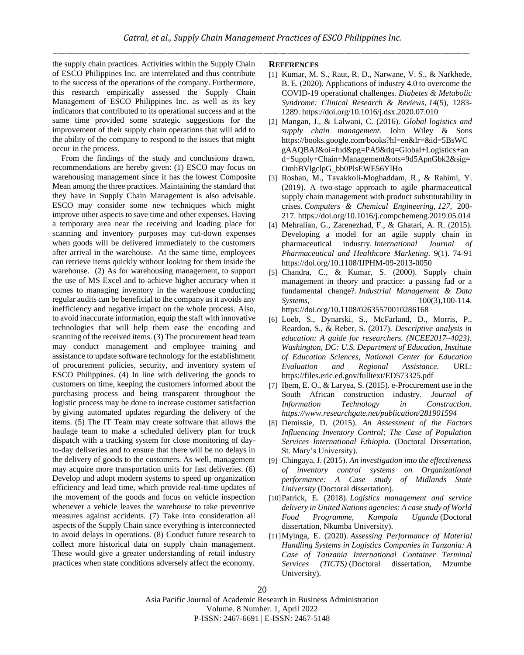the supply chain practices. Activities within the Supply Chain of ESCO Philippines Inc. are interrelated and thus contribute to the success of the operations of the company. Furthermore, this research empirically assessed the Supply Chain Management of ESCO Philippines Inc. as well as its key indicators that contributed to its operational success and at the same time provided some strategic suggestions for the improvement of their supply chain operations that will add to the ability of the company to respond to the issues that might occur in the process.

From the findings of the study and conclusions drawn, recommendations are hereby given: (1) ESCO may focus on warehousing management since it has the lowest Composite Mean among the three practices. Maintaining the standard that they have in Supply Chain Management is also advisable. ESCO may consider some new techniques which might improve other aspects to save time and other expenses. Having a temporary area near the receiving and loading place for scanning and inventory purposes may cut-down expenses when goods will be delivered immediately to the customers after arrival in the warehouse. At the same time, employees can retrieve items quickly without looking for them inside the warehouse. (2) As for warehousing management, to support the use of MS Excel and to achieve higher accuracy when it comes to managing inventory in the warehouse conducting regular audits can be beneficial to the company as it avoids any inefficiency and negative impact on the whole process. Also, to avoid inaccurate information, equip the staff with innovative technologies that will help them ease the encoding and scanning of the received items. (3) The procurement head team may conduct management and employee training and assistance to update software technology for the establishment of procurement policies, security, and inventory system of ESCO Philippines. (4) In line with delivering the goods to customers on time, keeping the customers informed about the purchasing process and being transparent throughout the logistic process may be done to increase customer satisfaction by giving automated updates regarding the delivery of the items. (5) The IT Team may create software that allows the haulage team to make a scheduled delivery plan for truck dispatch with a tracking system for close monitoring of dayto-day deliveries and to ensure that there will be no delays in the delivery of goods to the customers. As well, management may acquire more transportation units for fast deliveries. (6) Develop and adopt modern systems to speed up organization efficiency and lead time, which provide real-time updates of the movement of the goods and focus on vehicle inspection whenever a vehicle leaves the warehouse to take preventive measures against accidents. (7) Take into consideration all aspects of the Supply Chain since everything is interconnected to avoid delays in operations. (8) Conduct future research to collect more historical data on supply chain management. These would give a greater understanding of retail industry practices when state conditions adversely affect the economy.

#### **REFERENCES**

- [1] Kumar, M. S., Raut, R. D., Narwane, V. S., & Narkhede, B. E. (2020). Applications of industry 4.0 to overcome the COVID-19 operational challenges. *Diabetes & Metabolic Syndrome: Clinical Research & Reviews*, *14*(5), 1283- 1289. <https://doi.org/10.1016/j.dsx.2020.07.010>
- [2] Mangan, J., & Lalwani, C. (2016). *Global logistics and supply chain management.* John Wiley & Sons https://books.google.com/books?hl=en&lr=&id=5BsWC gAAQBAJ&oi=fnd&pg=PA9&dq=Global+Logistics+an d+Supply+Chain+Management&ots=9d5ApnGbk2&sig= OmhBVlgclpG\_bb0PlsEWE56YlHo
- [3] Roshan, M., Tavakkoli-Moghaddam, R., & Rahimi, Y. (2019). A two-stage approach to agile pharmaceutical supply chain management with product substitutability in crises. *Computers & Chemical Engineering*, *127*, 200- 217. <https://doi.org/10.1016/j.compchemeng.2019.05.014>
- [4] Mehralian, G., Zarenezhad, F., & Ghatari, A. R. (2015). Developing a model for an agile supply chain in pharmaceutical industry. *International Journal of Pharmaceutical and Healthcare Marketing*. 9(1). 74-91 <https://doi.org/10.1108/IJPHM-09-2013-0050>
- [5] Chandra, C., & Kumar, S. (2000). Supply chain management in theory and practice: a passing fad or a fundamental change?. *Industrial Management & Data Systems,* 100(3), 100-114. <https://doi.org/10.1108/02635570010286168>
- [6] Loeb, S., Dynarski, S., McFarland, D., Morris, P., Reardon, S., & Reber, S. (2017). *Descriptive analysis in education: A guide for researchers. (NCEE2017–4023). Washington, DC: U.S. Department of Education, Institute of Education Sciences, National Center for Education Evaluation and Regional Assistance.* URL: <https://files.eric.ed.gov/fulltext/ED573325.pdf>
- [7] Ibem, E. O., & Laryea, S. (2015). e-Procurement use in the South African construction industry. *Journal of Information Technology in Construction. <https://www.researchgate.net/publication/281901594>*
- [8] Demissie, D. (2015). *An Assessment of the Factors Influencing Inventory Control; The Case of Population Services International Ethiopia.* (Doctoral Dissertation, St. Mary's University).
- [9] Chingaya, J. (2015). *An investigation into the effectiveness of inventory control systems on Organizational performance: A Case study of Midlands State University* (Doctoral dissertation).
- [10]Patrick, E. (2018). *Logistics management and service delivery in United Nations agencies: A case study of World Food Programme, Kampala Uganda* (Doctoral dissertation, Nkumba University).
- [11]Myinga, E. (2020). *Assessing Performance of Material Handling Systems in Logistics Companies in Tanzania: A Case of Tanzania International Container Terminal Services (TICTS)* (Doctoral dissertation, Mzumbe University).